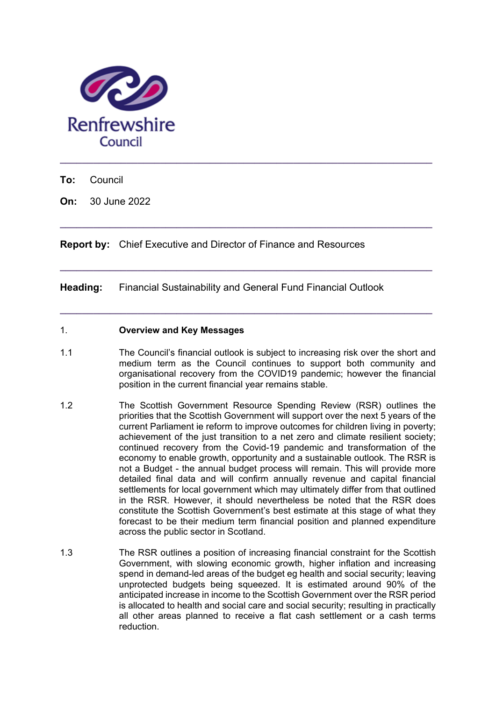

**To:** Council

**On:** 30 June 2022

**Report by:** Chief Executive and Director of Finance and Resources

**Heading:** Financial Sustainability and General Fund Financial Outlook

## 1. **Overview and Key Messages**

1.1 The Council's financial outlook is subject to increasing risk over the short and medium term as the Council continues to support both community and organisational recovery from the COVID19 pandemic; however the financial position in the current financial year remains stable.

**\_\_\_\_\_\_\_\_\_\_\_\_\_\_\_\_\_\_\_\_\_\_\_\_\_\_\_\_\_\_\_\_\_\_\_\_\_\_\_\_\_\_\_\_\_\_\_\_\_\_\_\_\_\_\_\_\_\_\_\_\_\_\_\_\_\_\_** 

**\_\_\_\_\_\_\_\_\_\_\_\_\_\_\_\_\_\_\_\_\_\_\_\_\_\_\_\_\_\_\_\_\_\_\_\_\_\_\_\_\_\_\_\_\_\_\_\_\_\_\_\_\_\_\_\_\_\_\_\_\_\_\_\_\_\_\_** 

**\_\_\_\_\_\_\_\_\_\_\_\_\_\_\_\_\_\_\_\_\_\_\_\_\_\_\_\_\_\_\_\_\_\_\_\_\_\_\_\_\_\_\_\_\_\_\_\_\_\_\_\_\_\_\_\_\_\_\_\_\_\_\_\_\_\_\_** 

- 1.2 The Scottish Government Resource Spending Review (RSR) outlines the priorities that the Scottish Government will support over the next 5 years of the current Parliament ie reform to improve outcomes for children living in poverty; achievement of the just transition to a net zero and climate resilient society; continued recovery from the Covid-19 pandemic and transformation of the economy to enable growth, opportunity and a sustainable outlook. The RSR is not a Budget - the annual budget process will remain. This will provide more detailed final data and will confirm annually revenue and capital financial settlements for local government which may ultimately differ from that outlined in the RSR. However, it should nevertheless be noted that the RSR does constitute the Scottish Government's best estimate at this stage of what they forecast to be their medium term financial position and planned expenditure across the public sector in Scotland.
- 1.3 The RSR outlines a position of increasing financial constraint for the Scottish Government, with slowing economic growth, higher inflation and increasing spend in demand-led areas of the budget eg health and social security; leaving unprotected budgets being squeezed. It is estimated around 90% of the anticipated increase in income to the Scottish Government over the RSR period is allocated to health and social care and social security; resulting in practically all other areas planned to receive a flat cash settlement or a cash terms reduction.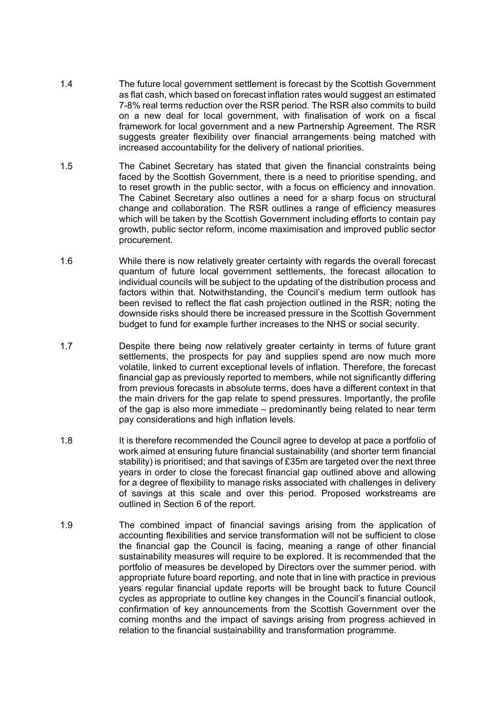- 1.4 The future local government settlement is forecast by the Scottish Government as flat cash, which based on forecast inflation rates would suggest an estimated 7-8% real terms reduction over the RSR period. The RSR also commits to build on a new deal for local government, with finalisation of work on a fiscal framework for local government and a new Partnership Agreement. The RSR suggests greater flexibility over financial arrangements being matched with increased accountability for the delivery of national priorities.
- 1.5 The Cabinet Secretary has stated that given the financial constraints being faced by the Scottish Government, there is a need to prioritise spending, and to reset growth in the public sector, with a focus on efficiency and innovation. The Cabinet Secretary also outlines a need for a sharp focus on structural change and collaboration. The RSR outlines a range of efficiency measures which will be taken by the Scottish Government including efforts to contain pay growth, public sector reform, income maximisation and improved public sector procurement.
- 1.6 While there is now relatively greater certainty with regards the overall forecast quantum of future local government settlements, the forecast allocation to individual councils will be subject to the updating of the distribution process and factors within that. Notwithstanding, the Council's medium term outlook has been revised to reflect the flat cash projection outlined in the RSR; noting the downside risks should there be increased pressure in the Scottish Government budget to fund for example further increases to the NHS or social security.
- 1.7 Despite there being now relatively greater certainty in terms of future grant settlements, the prospects for pay and supplies spend are now much more volatile, linked to current exceptional levels of inflation. Therefore, the forecast financial gap as previously reported to members, while not significantly differing from previous forecasts in absolute terms, does have a different context in that the main drivers for the gap relate to spend pressures. Importantly, the profile of the gap is also more immediate – predominantly being related to near term pay considerations and high inflation levels.
- 1.8 It is therefore recommended the Council agree to develop at pace a portfolio of work aimed at ensuring future financial sustainability (and shorter term financial stability) is prioritised; and that savings of £35m are targeted over the next three years in order to close the forecast financial gap outlined above and allowing for a degree of flexibility to manage risks associated with challenges in delivery of savings at this scale and over this period. Proposed workstreams are outlined in Section 6 of the report.
- 1.9 The combined impact of financial savings arising from the application of accounting flexibilities and service transformation will not be sufficient to close the financial gap the Council is facing, meaning a range of other financial sustainability measures will require to be explored. It is recommended that the portfolio of measures be developed by Directors over the summer period. with appropriate future board reporting, and note that in line with practice in previous years regular financial update reports will be brought back to future Council cycles as appropriate to outline key changes in the Council's financial outlook, confirmation of key announcements from the Scottish Government over the coming months and the impact of savings arising from progress achieved in relation to the financial sustainability and transformation programme.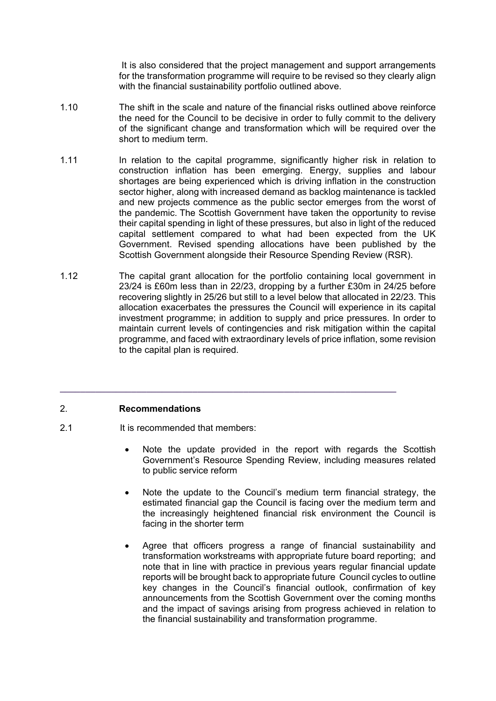It is also considered that the project management and support arrangements for the transformation programme will require to be revised so they clearly align with the financial sustainability portfolio outlined above.

- 1.10 The shift in the scale and nature of the financial risks outlined above reinforce the need for the Council to be decisive in order to fully commit to the delivery of the significant change and transformation which will be required over the short to medium term.
- 1.11 In relation to the capital programme, significantly higher risk in relation to construction inflation has been emerging. Energy, supplies and labour shortages are being experienced which is driving inflation in the construction sector higher, along with increased demand as backlog maintenance is tackled and new projects commence as the public sector emerges from the worst of the pandemic. The Scottish Government have taken the opportunity to revise their capital spending in light of these pressures, but also in light of the reduced capital settlement compared to what had been expected from the UK Government. Revised spending allocations have been published by the Scottish Government alongside their Resource Spending Review (RSR).
- 1.12 The capital grant allocation for the portfolio containing local government in 23/24 is £60m less than in 22/23, dropping by a further £30m in 24/25 before recovering slightly in 25/26 but still to a level below that allocated in 22/23. This allocation exacerbates the pressures the Council will experience in its capital investment programme; in addition to supply and price pressures. In order to maintain current levels of contingencies and risk mitigation within the capital programme, and faced with extraordinary levels of price inflation, some revision to the capital plan is required.

**\_\_\_\_\_\_\_\_\_\_\_\_\_\_\_\_\_\_\_\_\_\_\_\_\_\_\_\_\_\_\_\_\_\_\_\_\_\_\_\_\_\_\_\_\_\_\_\_\_\_\_\_\_\_\_\_\_\_\_\_\_\_\_\_\_\_** 

# 2. **Recommendations**

- 2.1 It is recommended that members:
	- Note the update provided in the report with regards the Scottish Government's Resource Spending Review, including measures related to public service reform
	- Note the update to the Council's medium term financial strategy, the estimated financial gap the Council is facing over the medium term and the increasingly heightened financial risk environment the Council is facing in the shorter term
	- Agree that officers progress a range of financial sustainability and transformation workstreams with appropriate future board reporting; and note that in line with practice in previous years regular financial update reports will be brought back to appropriate future Council cycles to outline key changes in the Council's financial outlook, confirmation of key announcements from the Scottish Government over the coming months and the impact of savings arising from progress achieved in relation to the financial sustainability and transformation programme.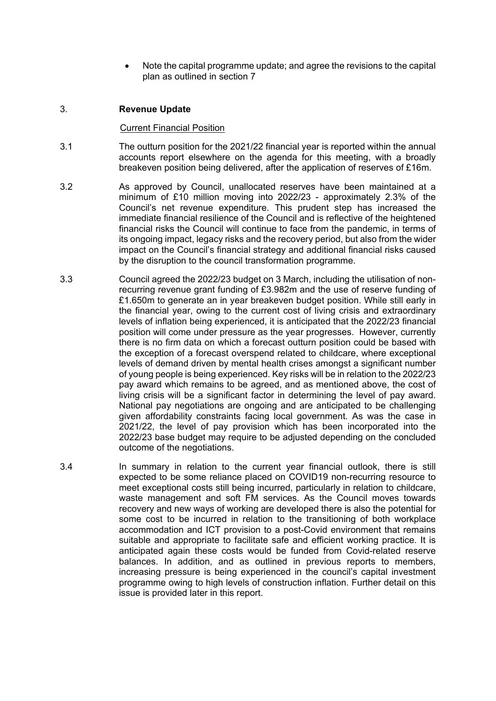Note the capital programme update; and agree the revisions to the capital plan as outlined in section 7

## 3. **Revenue Update**

#### Current Financial Position

- 3.1 The outturn position for the 2021/22 financial year is reported within the annual accounts report elsewhere on the agenda for this meeting, with a broadly breakeven position being delivered, after the application of reserves of £16m.
- 3.2 As approved by Council, unallocated reserves have been maintained at a minimum of £10 million moving into 2022/23 - approximately 2.3% of the Council's net revenue expenditure. This prudent step has increased the immediate financial resilience of the Council and is reflective of the heightened financial risks the Council will continue to face from the pandemic, in terms of its ongoing impact, legacy risks and the recovery period, but also from the wider impact on the Council's financial strategy and additional financial risks caused by the disruption to the council transformation programme.
- 3.3 Council agreed the 2022/23 budget on 3 March, including the utilisation of nonrecurring revenue grant funding of £3.982m and the use of reserve funding of £1.650m to generate an in year breakeven budget position. While still early in the financial year, owing to the current cost of living crisis and extraordinary levels of inflation being experienced, it is anticipated that the 2022/23 financial position will come under pressure as the year progresses. However, currently there is no firm data on which a forecast outturn position could be based with the exception of a forecast overspend related to childcare, where exceptional levels of demand driven by mental health crises amongst a significant number of young people is being experienced. Key risks will be in relation to the 2022/23 pay award which remains to be agreed, and as mentioned above, the cost of living crisis will be a significant factor in determining the level of pay award. National pay negotiations are ongoing and are anticipated to be challenging given affordability constraints facing local government. As was the case in 2021/22, the level of pay provision which has been incorporated into the 2022/23 base budget may require to be adjusted depending on the concluded outcome of the negotiations.
- 3.4 In summary in relation to the current year financial outlook, there is still expected to be some reliance placed on COVID19 non-recurring resource to meet exceptional costs still being incurred, particularly in relation to childcare, waste management and soft FM services. As the Council moves towards recovery and new ways of working are developed there is also the potential for some cost to be incurred in relation to the transitioning of both workplace accommodation and ICT provision to a post-Covid environment that remains suitable and appropriate to facilitate safe and efficient working practice. It is anticipated again these costs would be funded from Covid-related reserve balances. In addition, and as outlined in previous reports to members, increasing pressure is being experienced in the council's capital investment programme owing to high levels of construction inflation. Further detail on this issue is provided later in this report.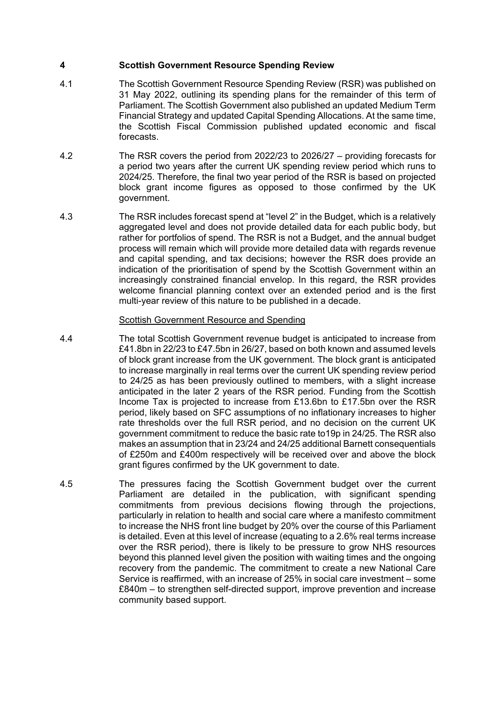## **4 Scottish Government Resource Spending Review**

- 4.1 The Scottish Government Resource Spending Review (RSR) was published on 31 May 2022, outlining its spending plans for the remainder of this term of Parliament. The Scottish Government also published an updated Medium Term Financial Strategy and updated Capital Spending Allocations. At the same time, the Scottish Fiscal Commission published updated economic and fiscal forecasts.
- 4.2 The RSR covers the period from 2022/23 to 2026/27 providing forecasts for a period two years after the current UK spending review period which runs to 2024/25. Therefore, the final two year period of the RSR is based on projected block grant income figures as opposed to those confirmed by the UK government.
- 4.3 The RSR includes forecast spend at "level 2" in the Budget, which is a relatively aggregated level and does not provide detailed data for each public body, but rather for portfolios of spend. The RSR is not a Budget, and the annual budget process will remain which will provide more detailed data with regards revenue and capital spending, and tax decisions; however the RSR does provide an indication of the prioritisation of spend by the Scottish Government within an increasingly constrained financial envelop. In this regard, the RSR provides welcome financial planning context over an extended period and is the first multi-year review of this nature to be published in a decade.

## Scottish Government Resource and Spending

- 4.4 The total Scottish Government revenue budget is anticipated to increase from £41.8bn in 22/23 to £47.5bn in 26/27, based on both known and assumed levels of block grant increase from the UK government. The block grant is anticipated to increase marginally in real terms over the current UK spending review period to 24/25 as has been previously outlined to members, with a slight increase anticipated in the later 2 years of the RSR period. Funding from the Scottish Income Tax is projected to increase from £13.6bn to £17.5bn over the RSR period, likely based on SFC assumptions of no inflationary increases to higher rate thresholds over the full RSR period, and no decision on the current UK government commitment to reduce the basic rate to19p in 24/25. The RSR also makes an assumption that in 23/24 and 24/25 additional Barnett consequentials of £250m and £400m respectively will be received over and above the block grant figures confirmed by the UK government to date.
- 4.5 The pressures facing the Scottish Government budget over the current Parliament are detailed in the publication, with significant spending commitments from previous decisions flowing through the projections, particularly in relation to health and social care where a manifesto commitment to increase the NHS front line budget by 20% over the course of this Parliament is detailed. Even at this level of increase (equating to a 2.6% real terms increase over the RSR period), there is likely to be pressure to grow NHS resources beyond this planned level given the position with waiting times and the ongoing recovery from the pandemic. The commitment to create a new National Care Service is reaffirmed, with an increase of 25% in social care investment – some £840m – to strengthen self-directed support, improve prevention and increase community based support.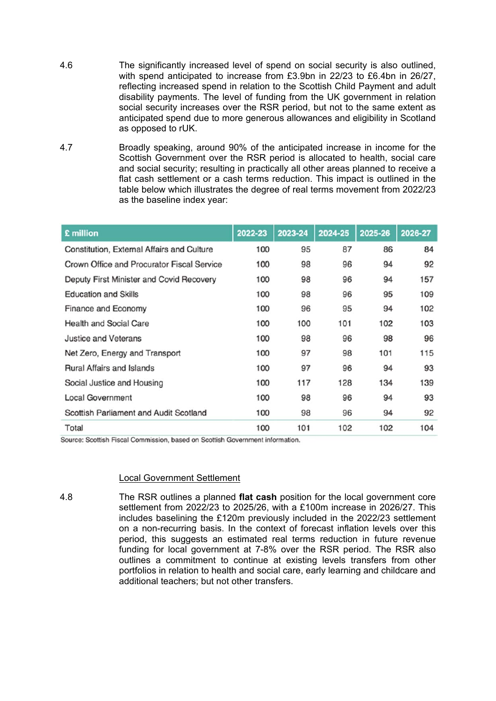- 4.6 The significantly increased level of spend on social security is also outlined, with spend anticipated to increase from £3.9bn in 22/23 to £6.4bn in 26/27, reflecting increased spend in relation to the Scottish Child Payment and adult disability payments. The level of funding from the UK government in relation social security increases over the RSR period, but not to the same extent as anticipated spend due to more generous allowances and eligibility in Scotland as opposed to rUK.
- 4.7 Broadly speaking, around 90% of the anticipated increase in income for the Scottish Government over the RSR period is allocated to health, social care and social security; resulting in practically all other areas planned to receive a flat cash settlement or a cash terms reduction. This impact is outlined in the table below which illustrates the degree of real terms movement from 2022/23 as the baseline index year:

| £ million                                  | 2022-23 | 2023-24 | 2024-25 | 2025-26 | 2026-27 |
|--------------------------------------------|---------|---------|---------|---------|---------|
| Constitution, External Affairs and Culture | 100     | 95      | 87      | 86      | 84      |
| Crown Office and Procurator Fiscal Service | 100     | 98      | 96      | 94      | 92      |
| Deputy First Minister and Covid Recovery   | 100     | 98      | 96      | 94      | 157     |
| <b>Education and Skills</b>                | 100     | 98      | 96      | 95      | 109     |
| <b>Finance and Economy</b>                 | 100     | 96      | 95      | 94      | 102     |
| <b>Health and Social Care</b>              | 100     | 100     | 101     | 102     | 103     |
| <b>Justice and Veterans</b>                | 100     | 98      | 96      | 98      | 96      |
| Net Zero, Energy and Transport             | 100     | 97      | 98      | 101     | 115     |
| <b>Rural Affairs and Islands</b>           | 100     | 97      | 96      | 94      | 93      |
| Social Justice and Housing                 | 100     | 117     | 128     | 134     | 139     |
| <b>Local Government</b>                    | 100     | 98      | 96      | 94      | 93      |
| Scottish Parliament and Audit Scotland     | 100     | 98      | 96      | 94      | 92      |
| Total                                      | 100     | 101     | 102     | 102     | 104     |

Source: Scottish Fiscal Commission, based on Scottish Government information.

#### Local Government Settlement

4.8 The RSR outlines a planned **flat cash** position for the local government core settlement from 2022/23 to 2025/26, with a £100m increase in 2026/27. This includes baselining the £120m previously included in the 2022/23 settlement on a non-recurring basis. In the context of forecast inflation levels over this period, this suggests an estimated real terms reduction in future revenue funding for local government at 7-8% over the RSR period. The RSR also outlines a commitment to continue at existing levels transfers from other portfolios in relation to health and social care, early learning and childcare and additional teachers; but not other transfers.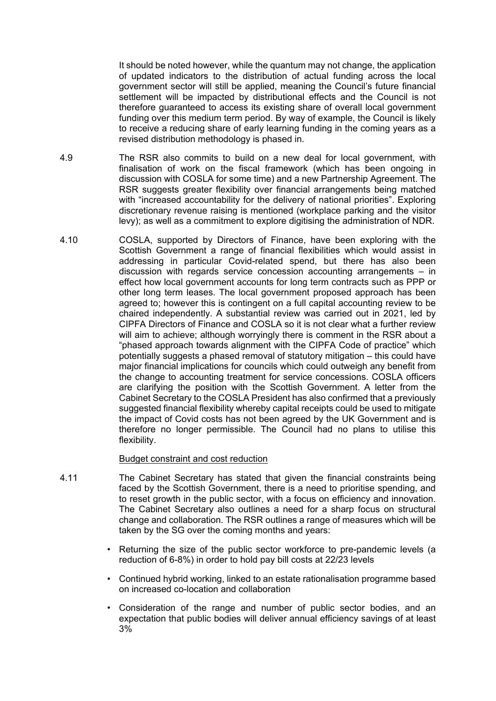It should be noted however, while the quantum may not change, the application of updated indicators to the distribution of actual funding across the local government sector will still be applied, meaning the Council's future financial settlement will be impacted by distributional effects and the Council is not therefore guaranteed to access its existing share of overall local government funding over this medium term period. By way of example, the Council is likely to receive a reducing share of early learning funding in the coming years as a revised distribution methodology is phased in.

- 4.9 The RSR also commits to build on a new deal for local government, with finalisation of work on the fiscal framework (which has been ongoing in discussion with COSLA for some time) and a new Partnership Agreement. The RSR suggests greater flexibility over financial arrangements being matched with "increased accountability for the delivery of national priorities". Exploring discretionary revenue raising is mentioned (workplace parking and the visitor levy); as well as a commitment to explore digitising the administration of NDR.
- 4.10 COSLA, supported by Directors of Finance, have been exploring with the Scottish Government a range of financial flexibilities which would assist in addressing in particular Covid-related spend, but there has also been discussion with regards service concession accounting arrangements – in effect how local government accounts for long term contracts such as PPP or other long term leases. The local government proposed approach has been agreed to; however this is contingent on a full capital accounting review to be chaired independently. A substantial review was carried out in 2021, led by CIPFA Directors of Finance and COSLA so it is not clear what a further review will aim to achieve; although worryingly there is comment in the RSR about a "phased approach towards alignment with the CIPFA Code of practice" which potentially suggests a phased removal of statutory mitigation – this could have major financial implications for councils which could outweigh any benefit from the change to accounting treatment for service concessions. COSLA officers are clarifying the position with the Scottish Government. A letter from the Cabinet Secretary to the COSLA President has also confirmed that a previously suggested financial flexibility whereby capital receipts could be used to mitigate the impact of Covid costs has not been agreed by the UK Government and is therefore no longer permissible. The Council had no plans to utilise this flexibility.

#### Budget constraint and cost reduction

- 4.11 The Cabinet Secretary has stated that given the financial constraints being faced by the Scottish Government, there is a need to prioritise spending, and to reset growth in the public sector, with a focus on efficiency and innovation. The Cabinet Secretary also outlines a need for a sharp focus on structural change and collaboration. The RSR outlines a range of measures which will be taken by the SG over the coming months and years:
	- Returning the size of the public sector workforce to pre-pandemic levels (a reduction of 6-8%) in order to hold pay bill costs at 22/23 levels
	- Continued hybrid working, linked to an estate rationalisation programme based on increased co-location and collaboration
	- Consideration of the range and number of public sector bodies, and an expectation that public bodies will deliver annual efficiency savings of at least 3%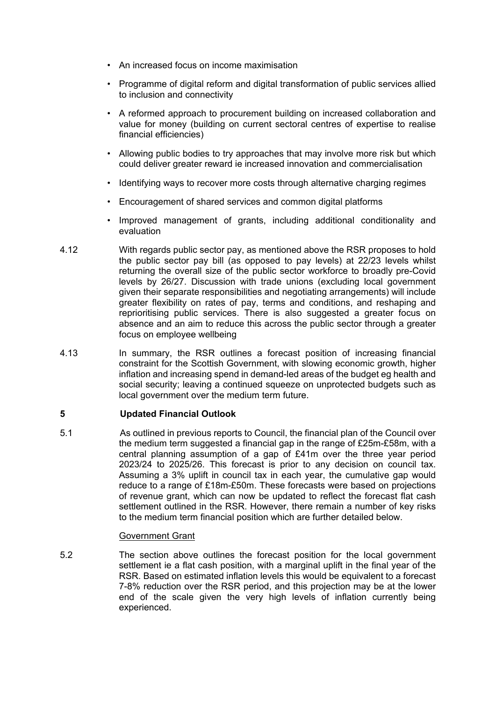- An increased focus on income maximisation
- Programme of digital reform and digital transformation of public services allied to inclusion and connectivity
- A reformed approach to procurement building on increased collaboration and value for money (building on current sectoral centres of expertise to realise financial efficiencies)
- Allowing public bodies to try approaches that may involve more risk but which could deliver greater reward ie increased innovation and commercialisation
- Identifying ways to recover more costs through alternative charging regimes
- Encouragement of shared services and common digital platforms
- Improved management of grants, including additional conditionality and evaluation
- 4.12 With regards public sector pay, as mentioned above the RSR proposes to hold the public sector pay bill (as opposed to pay levels) at 22/23 levels whilst returning the overall size of the public sector workforce to broadly pre-Covid levels by 26/27. Discussion with trade unions (excluding local government given their separate responsibilities and negotiating arrangements) will include greater flexibility on rates of pay, terms and conditions, and reshaping and reprioritising public services. There is also suggested a greater focus on absence and an aim to reduce this across the public sector through a greater focus on employee wellbeing
- 4.13 In summary, the RSR outlines a forecast position of increasing financial constraint for the Scottish Government, with slowing economic growth, higher inflation and increasing spend in demand-led areas of the budget eg health and social security; leaving a continued squeeze on unprotected budgets such as local government over the medium term future.

#### **5 Updated Financial Outlook**

5.1 As outlined in previous reports to Council, the financial plan of the Council over the medium term suggested a financial gap in the range of £25m-£58m, with a central planning assumption of a gap of £41m over the three year period 2023/24 to 2025/26. This forecast is prior to any decision on council tax. Assuming a 3% uplift in council tax in each year, the cumulative gap would reduce to a range of £18m-£50m. These forecasts were based on projections of revenue grant, which can now be updated to reflect the forecast flat cash settlement outlined in the RSR. However, there remain a number of key risks to the medium term financial position which are further detailed below.

#### Government Grant

5.2 The section above outlines the forecast position for the local government settlement ie a flat cash position, with a marginal uplift in the final year of the RSR. Based on estimated inflation levels this would be equivalent to a forecast 7-8% reduction over the RSR period, and this projection may be at the lower end of the scale given the very high levels of inflation currently being experienced.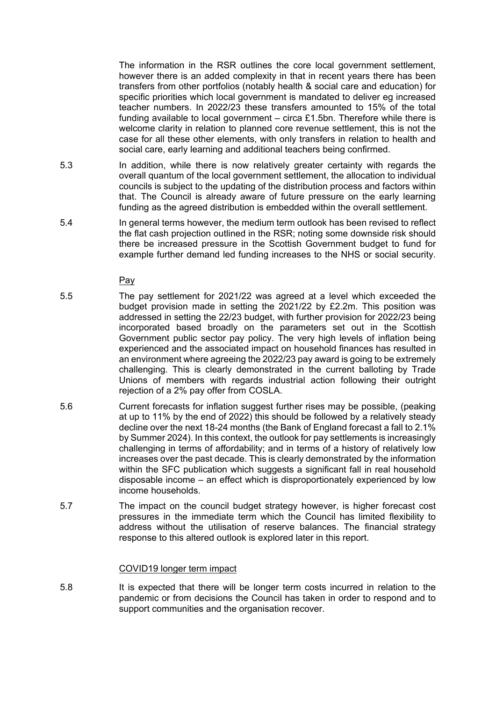The information in the RSR outlines the core local government settlement, however there is an added complexity in that in recent years there has been transfers from other portfolios (notably health & social care and education) for specific priorities which local government is mandated to deliver eg increased teacher numbers. In 2022/23 these transfers amounted to 15% of the total funding available to local government  $-$  circa £1.5bn. Therefore while there is welcome clarity in relation to planned core revenue settlement, this is not the case for all these other elements, with only transfers in relation to health and social care, early learning and additional teachers being confirmed.

- 5.3 In addition, while there is now relatively greater certainty with regards the overall quantum of the local government settlement, the allocation to individual councils is subject to the updating of the distribution process and factors within that. The Council is already aware of future pressure on the early learning funding as the agreed distribution is embedded within the overall settlement.
- 5.4 In general terms however, the medium term outlook has been revised to reflect the flat cash projection outlined in the RSR; noting some downside risk should there be increased pressure in the Scottish Government budget to fund for example further demand led funding increases to the NHS or social security.

Pay

- 5.5 The pay settlement for 2021/22 was agreed at a level which exceeded the budget provision made in setting the 2021/22 by £2.2m. This position was addressed in setting the 22/23 budget, with further provision for 2022/23 being incorporated based broadly on the parameters set out in the Scottish Government public sector pay policy. The very high levels of inflation being experienced and the associated impact on household finances has resulted in an environment where agreeing the 2022/23 pay award is going to be extremely challenging. This is clearly demonstrated in the current balloting by Trade Unions of members with regards industrial action following their outright rejection of a 2% pay offer from COSLA.
- 5.6 Current forecasts for inflation suggest further rises may be possible, (peaking at up to 11% by the end of 2022) this should be followed by a relatively steady decline over the next 18-24 months (the Bank of England forecast a fall to 2.1% by Summer 2024). In this context, the outlook for pay settlements is increasingly challenging in terms of affordability; and in terms of a history of relatively low increases over the past decade. This is clearly demonstrated by the information within the SFC publication which suggests a significant fall in real household disposable income – an effect which is disproportionately experienced by low income households.
- 5.7 The impact on the council budget strategy however, is higher forecast cost pressures in the immediate term which the Council has limited flexibility to address without the utilisation of reserve balances. The financial strategy response to this altered outlook is explored later in this report.

#### COVID19 longer term impact

5.8 It is expected that there will be longer term costs incurred in relation to the pandemic or from decisions the Council has taken in order to respond and to support communities and the organisation recover.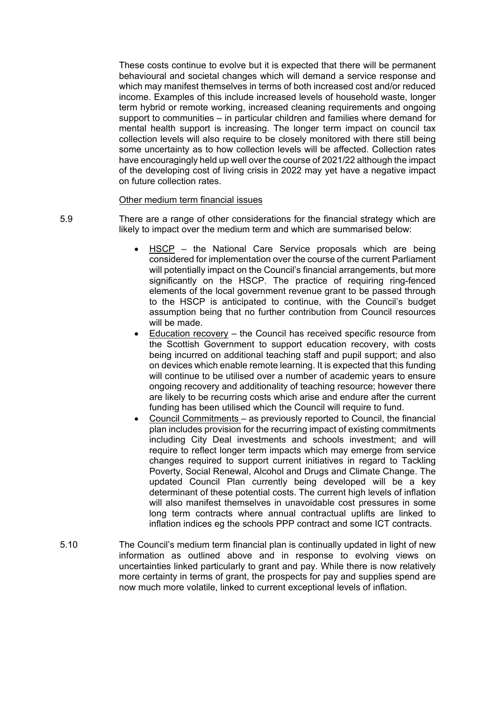These costs continue to evolve but it is expected that there will be permanent behavioural and societal changes which will demand a service response and which may manifest themselves in terms of both increased cost and/or reduced income. Examples of this include increased levels of household waste, longer term hybrid or remote working, increased cleaning requirements and ongoing support to communities – in particular children and families where demand for mental health support is increasing. The longer term impact on council tax collection levels will also require to be closely monitored with there still being some uncertainty as to how collection levels will be affected. Collection rates have encouragingly held up well over the course of 2021/22 although the impact of the developing cost of living crisis in 2022 may yet have a negative impact on future collection rates.

#### Other medium term financial issues

5.9 There are a range of other considerations for the financial strategy which are likely to impact over the medium term and which are summarised below:

- HSCP the National Care Service proposals which are being considered for implementation over the course of the current Parliament will potentially impact on the Council's financial arrangements, but more significantly on the HSCP. The practice of requiring ring-fenced elements of the local government revenue grant to be passed through to the HSCP is anticipated to continue, with the Council's budget assumption being that no further contribution from Council resources will be made.
- Education recovery the Council has received specific resource from the Scottish Government to support education recovery, with costs being incurred on additional teaching staff and pupil support; and also on devices which enable remote learning. It is expected that this funding will continue to be utilised over a number of academic years to ensure ongoing recovery and additionality of teaching resource; however there are likely to be recurring costs which arise and endure after the current funding has been utilised which the Council will require to fund.
- Council Commitments as previously reported to Council, the financial plan includes provision for the recurring impact of existing commitments including City Deal investments and schools investment; and will require to reflect longer term impacts which may emerge from service changes required to support current initiatives in regard to Tackling Poverty, Social Renewal, Alcohol and Drugs and Climate Change. The updated Council Plan currently being developed will be a key determinant of these potential costs. The current high levels of inflation will also manifest themselves in unavoidable cost pressures in some long term contracts where annual contractual uplifts are linked to inflation indices eg the schools PPP contract and some ICT contracts.
- 5.10 The Council's medium term financial plan is continually updated in light of new information as outlined above and in response to evolving views on uncertainties linked particularly to grant and pay. While there is now relatively more certainty in terms of grant, the prospects for pay and supplies spend are now much more volatile, linked to current exceptional levels of inflation.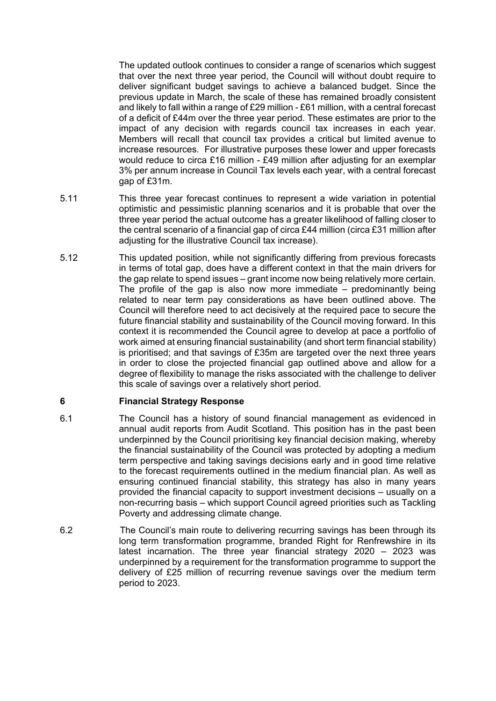The updated outlook continues to consider a range of scenarios which suggest that over the next three year period, the Council will without doubt require to deliver significant budget savings to achieve a balanced budget. Since the previous update in March, the scale of these has remained broadly consistent and likely to fall within a range of £29 million - £61 million, with a central forecast of a deficit of £44m over the three year period. These estimates are prior to the impact of any decision with regards council tax increases in each year. Members will recall that council tax provides a critical but limited avenue to increase resources. For illustrative purposes these lower and upper forecasts would reduce to circa £16 million - £49 million after adjusting for an exemplar 3% per annum increase in Council Tax levels each year, with a central forecast gap of £31m.

- 5.11 This three year forecast continues to represent a wide variation in potential optimistic and pessimistic planning scenarios and it is probable that over the three year period the actual outcome has a greater likelihood of falling closer to the central scenario of a financial gap of circa £44 million (circa £31 million after adjusting for the illustrative Council tax increase).
- 5.12 This updated position, while not significantly differing from previous forecasts in terms of total gap, does have a different context in that the main drivers for the gap relate to spend issues – grant income now being relatively more certain. The profile of the gap is also now more immediate  $-$  predominantly being related to near term pay considerations as have been outlined above. The Council will therefore need to act decisively at the required pace to secure the future financial stability and sustainability of the Council moving forward. In this context it is recommended the Council agree to develop at pace a portfolio of work aimed at ensuring financial sustainability (and short term financial stability) is prioritised; and that savings of £35m are targeted over the next three years in order to close the projected financial gap outlined above and allow for a degree of flexibility to manage the risks associated with the challenge to deliver this scale of savings over a relatively short period.

# **6 Financial Strategy Response**

- 6.1 The Council has a history of sound financial management as evidenced in annual audit reports from Audit Scotland. This position has in the past been underpinned by the Council prioritising key financial decision making, whereby the financial sustainability of the Council was protected by adopting a medium term perspective and taking savings decisions early and in good time relative to the forecast requirements outlined in the medium financial plan. As well as ensuring continued financial stability, this strategy has also in many years provided the financial capacity to support investment decisions – usually on a non-recurring basis – which support Council agreed priorities such as Tackling Poverty and addressing climate change.
- 6.2 The Council's main route to delivering recurring savings has been through its long term transformation programme, branded Right for Renfrewshire in its latest incarnation. The three year financial strategy 2020 – 2023 was underpinned by a requirement for the transformation programme to support the delivery of £25 million of recurring revenue savings over the medium term period to 2023.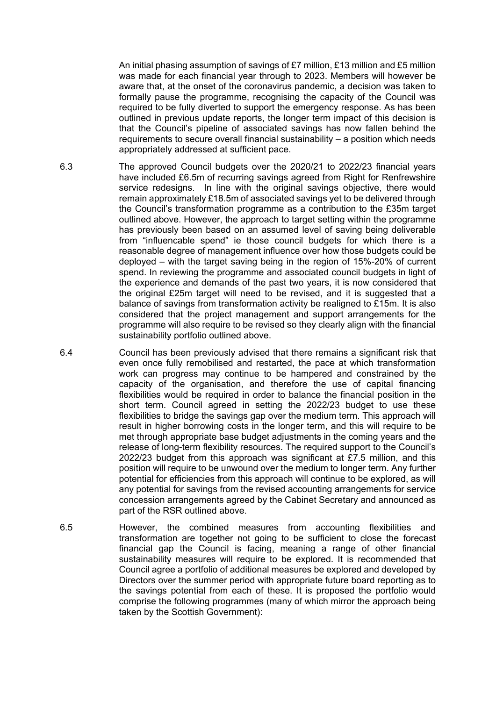An initial phasing assumption of savings of £7 million, £13 million and £5 million was made for each financial year through to 2023. Members will however be aware that, at the onset of the coronavirus pandemic, a decision was taken to formally pause the programme, recognising the capacity of the Council was required to be fully diverted to support the emergency response. As has been outlined in previous update reports, the longer term impact of this decision is that the Council's pipeline of associated savings has now fallen behind the requirements to secure overall financial sustainability – a position which needs appropriately addressed at sufficient pace.

- 6.3 The approved Council budgets over the 2020/21 to 2022/23 financial years have included £6.5m of recurring savings agreed from Right for Renfrewshire service redesigns. In line with the original savings objective, there would remain approximately £18.5m of associated savings yet to be delivered through the Council's transformation programme as a contribution to the £35m target outlined above. However, the approach to target setting within the programme has previously been based on an assumed level of saving being deliverable from "influencable spend" ie those council budgets for which there is a reasonable degree of management influence over how those budgets could be deployed – with the target saving being in the region of 15%-20% of current spend. In reviewing the programme and associated council budgets in light of the experience and demands of the past two years, it is now considered that the original £25m target will need to be revised, and it is suggested that a balance of savings from transformation activity be realigned to £15m. It is also considered that the project management and support arrangements for the programme will also require to be revised so they clearly align with the financial sustainability portfolio outlined above.
- 6.4 Council has been previously advised that there remains a significant risk that even once fully remobilised and restarted, the pace at which transformation work can progress may continue to be hampered and constrained by the capacity of the organisation, and therefore the use of capital financing flexibilities would be required in order to balance the financial position in the short term. Council agreed in setting the 2022/23 budget to use these flexibilities to bridge the savings gap over the medium term. This approach will result in higher borrowing costs in the longer term, and this will require to be met through appropriate base budget adjustments in the coming years and the release of long-term flexibility resources. The required support to the Council's 2022/23 budget from this approach was significant at £7.5 million, and this position will require to be unwound over the medium to longer term. Any further potential for efficiencies from this approach will continue to be explored, as will any potential for savings from the revised accounting arrangements for service concession arrangements agreed by the Cabinet Secretary and announced as part of the RSR outlined above.
- 6.5 However, the combined measures from accounting flexibilities and transformation are together not going to be sufficient to close the forecast financial gap the Council is facing, meaning a range of other financial sustainability measures will require to be explored. It is recommended that Council agree a portfolio of additional measures be explored and developed by Directors over the summer period with appropriate future board reporting as to the savings potential from each of these. It is proposed the portfolio would comprise the following programmes (many of which mirror the approach being taken by the Scottish Government):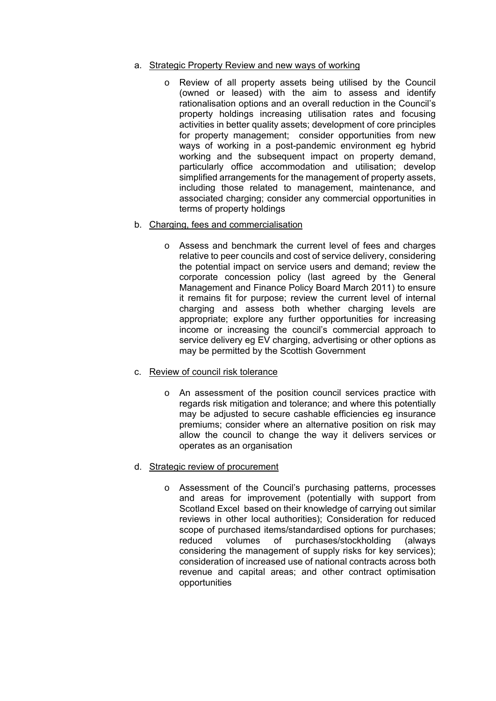- a. Strategic Property Review and new ways of working
	- o Review of all property assets being utilised by the Council (owned or leased) with the aim to assess and identify rationalisation options and an overall reduction in the Council's property holdings increasing utilisation rates and focusing activities in better quality assets; development of core principles for property management; consider opportunities from new ways of working in a post-pandemic environment eg hybrid working and the subsequent impact on property demand, particularly office accommodation and utilisation; develop simplified arrangements for the management of property assets, including those related to management, maintenance, and associated charging; consider any commercial opportunities in terms of property holdings
- b. Charging, fees and commercialisation
	- o Assess and benchmark the current level of fees and charges relative to peer councils and cost of service delivery, considering the potential impact on service users and demand; review the corporate concession policy (last agreed by the General Management and Finance Policy Board March 2011) to ensure it remains fit for purpose; review the current level of internal charging and assess both whether charging levels are appropriate; explore any further opportunities for increasing income or increasing the council's commercial approach to service delivery eg EV charging, advertising or other options as may be permitted by the Scottish Government
- c. Review of council risk tolerance
	- o An assessment of the position council services practice with regards risk mitigation and tolerance; and where this potentially may be adjusted to secure cashable efficiencies eg insurance premiums; consider where an alternative position on risk may allow the council to change the way it delivers services or operates as an organisation
- d. Strategic review of procurement
	- o Assessment of the Council's purchasing patterns, processes and areas for improvement (potentially with support from Scotland Excel based on their knowledge of carrying out similar reviews in other local authorities); Consideration for reduced scope of purchased items/standardised options for purchases; reduced volumes of purchases/stockholding (always considering the management of supply risks for key services); consideration of increased use of national contracts across both revenue and capital areas; and other contract optimisation opportunities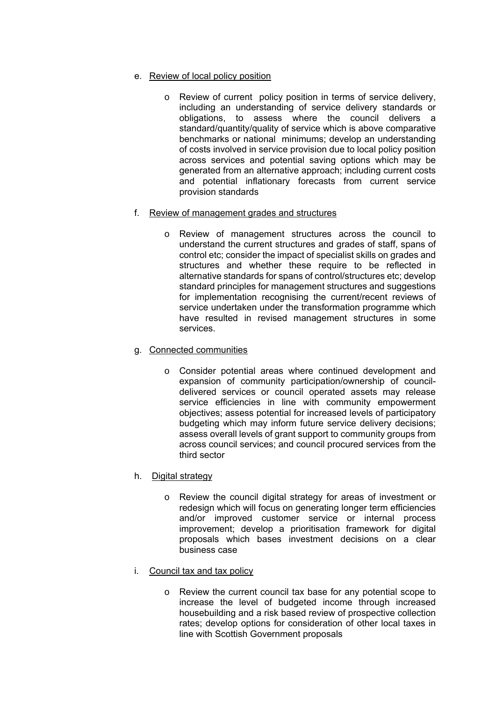- e. Review of local policy position
	- o Review of current policy position in terms of service delivery, including an understanding of service delivery standards or obligations, to assess where the council delivers a standard/quantity/quality of service which is above comparative benchmarks or national minimums; develop an understanding of costs involved in service provision due to local policy position across services and potential saving options which may be generated from an alternative approach; including current costs and potential inflationary forecasts from current service provision standards
- f. Review of management grades and structures
	- o Review of management structures across the council to understand the current structures and grades of staff, spans of control etc; consider the impact of specialist skills on grades and structures and whether these require to be reflected in alternative standards for spans of control/structures etc; develop standard principles for management structures and suggestions for implementation recognising the current/recent reviews of service undertaken under the transformation programme which have resulted in revised management structures in some services.
- g. Connected communities
	- o Consider potential areas where continued development and expansion of community participation/ownership of councildelivered services or council operated assets may release service efficiencies in line with community empowerment objectives; assess potential for increased levels of participatory budgeting which may inform future service delivery decisions; assess overall levels of grant support to community groups from across council services; and council procured services from the third sector
- h. Digital strategy
	- o Review the council digital strategy for areas of investment or redesign which will focus on generating longer term efficiencies and/or improved customer service or internal process improvement; develop a prioritisation framework for digital proposals which bases investment decisions on a clear business case
- i. Council tax and tax policy
	- o Review the current council tax base for any potential scope to increase the level of budgeted income through increased housebuilding and a risk based review of prospective collection rates; develop options for consideration of other local taxes in line with Scottish Government proposals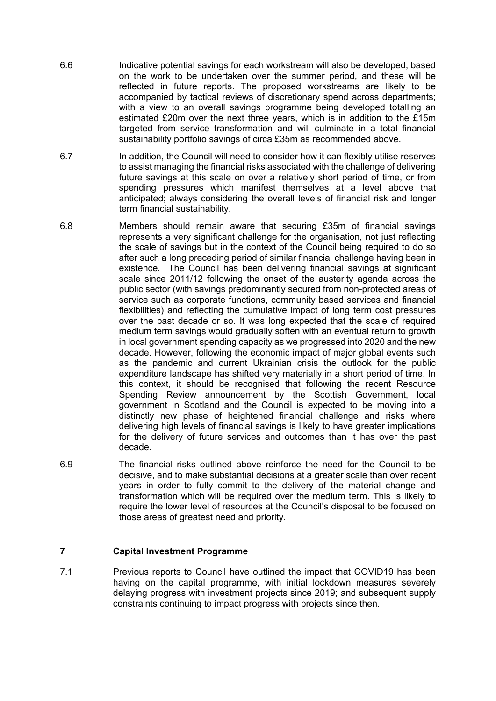- 6.6 Indicative potential savings for each workstream will also be developed, based on the work to be undertaken over the summer period, and these will be reflected in future reports. The proposed workstreams are likely to be accompanied by tactical reviews of discretionary spend across departments; with a view to an overall savings programme being developed totalling an estimated £20m over the next three years, which is in addition to the £15m targeted from service transformation and will culminate in a total financial sustainability portfolio savings of circa £35m as recommended above.
- 6.7 In addition, the Council will need to consider how it can flexibly utilise reserves to assist managing the financial risks associated with the challenge of delivering future savings at this scale on over a relatively short period of time, or from spending pressures which manifest themselves at a level above that anticipated; always considering the overall levels of financial risk and longer term financial sustainability.
- 6.8 Members should remain aware that securing £35m of financial savings represents a very significant challenge for the organisation, not just reflecting the scale of savings but in the context of the Council being required to do so after such a long preceding period of similar financial challenge having been in existence. The Council has been delivering financial savings at significant scale since 2011/12 following the onset of the austerity agenda across the public sector (with savings predominantly secured from non-protected areas of service such as corporate functions, community based services and financial flexibilities) and reflecting the cumulative impact of long term cost pressures over the past decade or so. It was long expected that the scale of required medium term savings would gradually soften with an eventual return to growth in local government spending capacity as we progressed into 2020 and the new decade. However, following the economic impact of major global events such as the pandemic and current Ukrainian crisis the outlook for the public expenditure landscape has shifted very materially in a short period of time. In this context, it should be recognised that following the recent Resource Spending Review announcement by the Scottish Government, local government in Scotland and the Council is expected to be moving into a distinctly new phase of heightened financial challenge and risks where delivering high levels of financial savings is likely to have greater implications for the delivery of future services and outcomes than it has over the past decade.
- 6.9 The financial risks outlined above reinforce the need for the Council to be decisive, and to make substantial decisions at a greater scale than over recent years in order to fully commit to the delivery of the material change and transformation which will be required over the medium term. This is likely to require the lower level of resources at the Council's disposal to be focused on those areas of greatest need and priority.

# **7 Capital Investment Programme**

7.1 Previous reports to Council have outlined the impact that COVID19 has been having on the capital programme, with initial lockdown measures severely delaying progress with investment projects since 2019; and subsequent supply constraints continuing to impact progress with projects since then.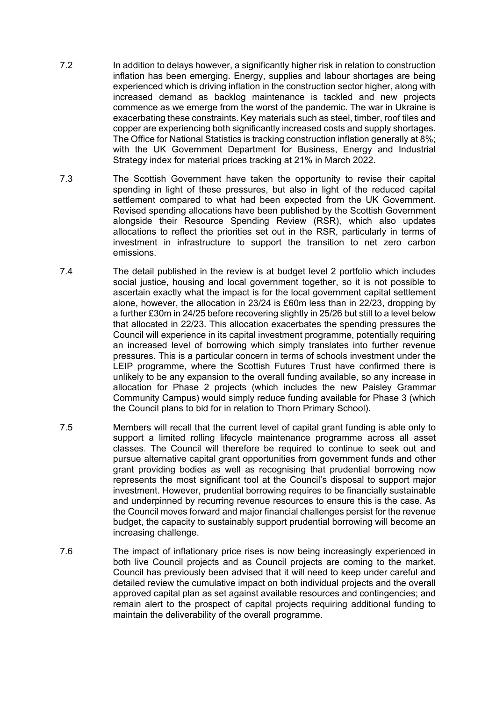- 7.2 In addition to delays however, a significantly higher risk in relation to construction inflation has been emerging. Energy, supplies and labour shortages are being experienced which is driving inflation in the construction sector higher, along with increased demand as backlog maintenance is tackled and new projects commence as we emerge from the worst of the pandemic. The war in Ukraine is exacerbating these constraints. Key materials such as steel, timber, roof tiles and copper are experiencing both significantly increased costs and supply shortages. The Office for National Statistics is tracking construction inflation generally at 8%; with the UK Government Department for Business, Energy and Industrial Strategy index for material prices tracking at 21% in March 2022.
- 7.3 The Scottish Government have taken the opportunity to revise their capital spending in light of these pressures, but also in light of the reduced capital settlement compared to what had been expected from the UK Government. Revised spending allocations have been published by the Scottish Government alongside their Resource Spending Review (RSR), which also updates allocations to reflect the priorities set out in the RSR, particularly in terms of investment in infrastructure to support the transition to net zero carbon emissions.
- 7.4 The detail published in the review is at budget level 2 portfolio which includes social justice, housing and local government together, so it is not possible to ascertain exactly what the impact is for the local government capital settlement alone, however, the allocation in 23/24 is £60m less than in 22/23, dropping by a further £30m in 24/25 before recovering slightly in 25/26 but still to a level below that allocated in 22/23. This allocation exacerbates the spending pressures the Council will experience in its capital investment programme, potentially requiring an increased level of borrowing which simply translates into further revenue pressures. This is a particular concern in terms of schools investment under the LEIP programme, where the Scottish Futures Trust have confirmed there is unlikely to be any expansion to the overall funding available, so any increase in allocation for Phase 2 projects (which includes the new Paisley Grammar Community Campus) would simply reduce funding available for Phase 3 (which the Council plans to bid for in relation to Thorn Primary School).
- 7.5 Members will recall that the current level of capital grant funding is able only to support a limited rolling lifecycle maintenance programme across all asset classes. The Council will therefore be required to continue to seek out and pursue alternative capital grant opportunities from government funds and other grant providing bodies as well as recognising that prudential borrowing now represents the most significant tool at the Council's disposal to support major investment. However, prudential borrowing requires to be financially sustainable and underpinned by recurring revenue resources to ensure this is the case. As the Council moves forward and major financial challenges persist for the revenue budget, the capacity to sustainably support prudential borrowing will become an increasing challenge.
- 7.6 The impact of inflationary price rises is now being increasingly experienced in both live Council projects and as Council projects are coming to the market. Council has previously been advised that it will need to keep under careful and detailed review the cumulative impact on both individual projects and the overall approved capital plan as set against available resources and contingencies; and remain alert to the prospect of capital projects requiring additional funding to maintain the deliverability of the overall programme.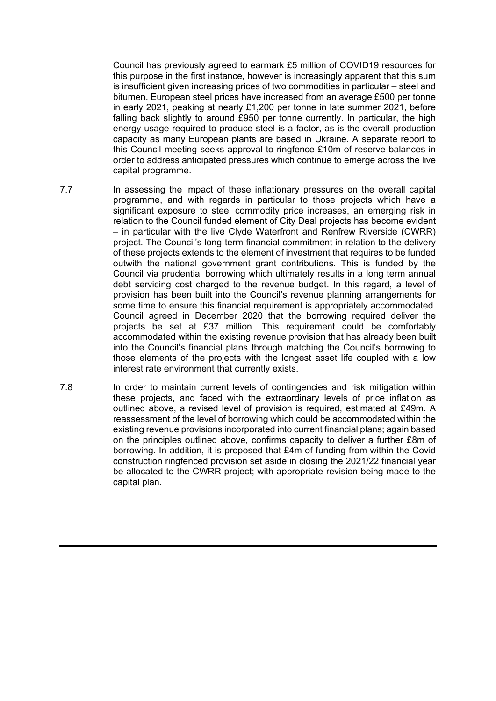Council has previously agreed to earmark £5 million of COVID19 resources for this purpose in the first instance, however is increasingly apparent that this sum is insufficient given increasing prices of two commodities in particular – steel and bitumen. European steel prices have increased from an average £500 per tonne in early 2021, peaking at nearly £1,200 per tonne in late summer 2021, before falling back slightly to around £950 per tonne currently. In particular, the high energy usage required to produce steel is a factor, as is the overall production capacity as many European plants are based in Ukraine. A separate report to this Council meeting seeks approval to ringfence £10m of reserve balances in order to address anticipated pressures which continue to emerge across the live capital programme.

- 7.7 In assessing the impact of these inflationary pressures on the overall capital programme, and with regards in particular to those projects which have a significant exposure to steel commodity price increases, an emerging risk in relation to the Council funded element of City Deal projects has become evident – in particular with the live Clyde Waterfront and Renfrew Riverside (CWRR) project. The Council's long-term financial commitment in relation to the delivery of these projects extends to the element of investment that requires to be funded outwith the national government grant contributions. This is funded by the Council via prudential borrowing which ultimately results in a long term annual debt servicing cost charged to the revenue budget. In this regard, a level of provision has been built into the Council's revenue planning arrangements for some time to ensure this financial requirement is appropriately accommodated. Council agreed in December 2020 that the borrowing required deliver the projects be set at £37 million. This requirement could be comfortably accommodated within the existing revenue provision that has already been built into the Council's financial plans through matching the Council's borrowing to those elements of the projects with the longest asset life coupled with a low interest rate environment that currently exists.
- 7.8 In order to maintain current levels of contingencies and risk mitigation within these projects, and faced with the extraordinary levels of price inflation as outlined above, a revised level of provision is required, estimated at £49m. A reassessment of the level of borrowing which could be accommodated within the existing revenue provisions incorporated into current financial plans; again based on the principles outlined above, confirms capacity to deliver a further £8m of borrowing. In addition, it is proposed that £4m of funding from within the Covid construction ringfenced provision set aside in closing the 2021/22 financial year be allocated to the CWRR project; with appropriate revision being made to the capital plan.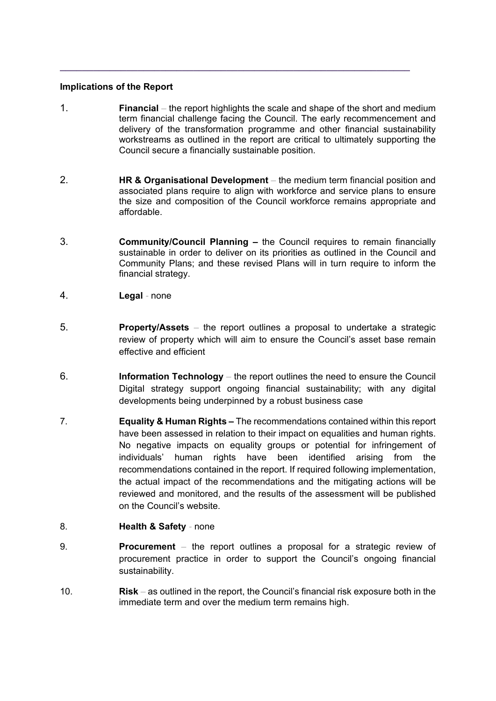# **Implications of the Report**

1. **Financial** *–* the report highlights the scale and shape of the short and medium term financial challenge facing the Council. The early recommencement and delivery of the transformation programme and other financial sustainability workstreams as outlined in the report are critical to ultimately supporting the Council secure a financially sustainable position.

**\_\_\_\_\_\_\_\_\_\_\_\_\_\_\_\_\_\_\_\_\_\_\_\_\_\_\_\_\_\_\_\_\_\_\_\_\_\_\_\_\_\_\_\_\_\_\_\_\_\_\_\_\_\_\_\_\_\_\_\_\_\_\_**

- 2. **HR & Organisational Development**the medium term financial position and associated plans require to align with workforce and service plans to ensure the size and composition of the Council workforce remains appropriate and affordable.
- 3. **Community/Council Planning** the Council requires to remain financially sustainable in order to deliver on its priorities as outlined in the Council and Community Plans; and these revised Plans will in turn require to inform the financial strategy.
- 4. **Legal**none
- 5. **Property/Assets**the report outlines a proposal to undertake a strategic review of property which will aim to ensure the Council's asset base remain effective and efficient
- 6. **Information Technology**the report outlines the need to ensure the Council Digital strategy support ongoing financial sustainability; with any digital developments being underpinned by a robust business case
- 7. **Equality & Human Rights –** The recommendations contained within this report have been assessed in relation to their impact on equalities and human rights. No negative impacts on equality groups or potential for infringement of individuals' human rights have been identified arising from the recommendations contained in the report. If required following implementation, the actual impact of the recommendations and the mitigating actions will be reviewed and monitored, and the results of the assessment will be published on the Council's website.
- 8. **Health & Safety**none
- 9. **Procurement**the report outlines a proposal for a strategic review of procurement practice in order to support the Council's ongoing financial sustainability.
- 10. **Risk**as outlined in the report, the Council's financial risk exposure both in the immediate term and over the medium term remains high.